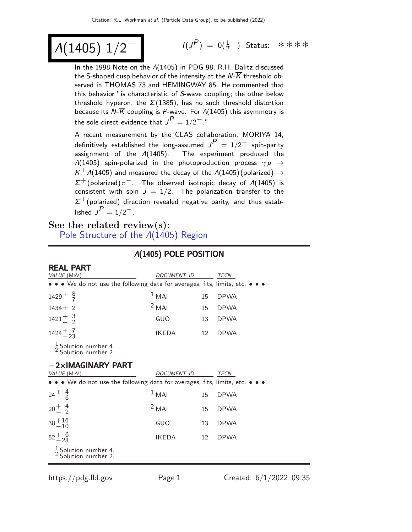# $Λ(1405)$  1/2

 $(P) = 0(\frac{1}{2}^-)$  Status: \*\*\*\*

In the 1998 Note on the Λ(1405) in PDG 98, R.H. Dalitz discussed the S-shaped cusp behavior of the intensity at the  $N\overline{K}$  threshold observed in THOMAS 73 and HEMINGWAY 85. He commented that this behavior "is characteristic of S-wave coupling; the other below threshold hyperon, the  $\Sigma(1385)$ , has no such threshold distortion because its  $N\overline{K}$  coupling is P-wave. For  $\Lambda(1405)$  this asymmetry is the sole direct evidence that  $J^P=1/2^{--}$ ."

A recent measurement by the CLAS collaboration, MORIYA 14, definitively established the long-assumed  $J<sup>P</sup> = 1/2^-$  spin-parity assignment of the Λ(1405). The experiment produced the  $\Lambda(1405)$  spin-polarized in the photoproduction process  $\gamma p \rightarrow$  $\mathcal{K}^+\mathcal{M}(1405)$  and measured the decay of the  $\mathcal{M}(1405)$ (polarized)  $\rightarrow$  $\Sigma^+$ (polarized) $\pi^-$ . The observed isotropic decay of  $\Lambda(1405)$  is consistent with spin  $J = 1/2$ . The polarization transfer to the  $\Sigma^+$ (polarized) direction revealed negative parity, and thus established  $J^P = 1/2^-$ .

## See the related review(s):

DEAL **DART** 

[Pole Structure of the](http://pdg.lbl.gov/2022/reviews/rpp2021-rev-lam-1405-pole-struct.pdf) Λ(1405) Region

| REAL FAR I<br>VALUE (MeV)                                                                                             | <i>DOCUMENT ID</i> |    | <b>TECN</b> |
|-----------------------------------------------------------------------------------------------------------------------|--------------------|----|-------------|
| • • • We do not use the following data for averages, fits, limits, etc. • • •                                         |                    |    |             |
| $1429 + \frac{8}{7}$                                                                                                  | $1$ MAI            | 15 | <b>DPWA</b> |
| $1434 \pm 2$                                                                                                          | $2$ MAI            | 15 | <b>DPWA</b> |
| $1421^{+}_{-}$ 3                                                                                                      | GUO                | 13 | <b>DPWA</b> |
| $1424 + \frac{7}{23}$                                                                                                 | <b>IKEDA</b>       | 12 | <b>DPWA</b> |
| $\frac{1}{2}$ Solution number 4.<br><sup>2</sup> Solution number 2.                                                   |                    |    |             |
| $-2\times$ IMAGINARY PART<br>VALUE (MeV)                                                                              | DOCUMENT ID        |    | TECN        |
| $\bullet \bullet \bullet$ We do not use the following data for averages, fits, limits, etc. $\bullet \bullet \bullet$ |                    |    |             |
| $24^{+}_{-}$ $^{4}_{6}$                                                                                               | $1$ MAI            | 15 | <b>DPWA</b> |
| $20^{+}_{-}$ $^{4}_{2}$                                                                                               | $2$ MAI            | 15 | <b>DPWA</b> |
| $38 + \frac{16}{10}$                                                                                                  | GUO                | 13 | <b>DPWA</b> |
| $52^{+6}_{-28}$                                                                                                       | <b>IKEDA</b>       | 12 | <b>DPWA</b> |
| $\frac{1}{2}$ Solution number 4.<br><sup>2</sup> Solution number 2.                                                   |                    |    |             |

## Λ(1405) POLE POSITION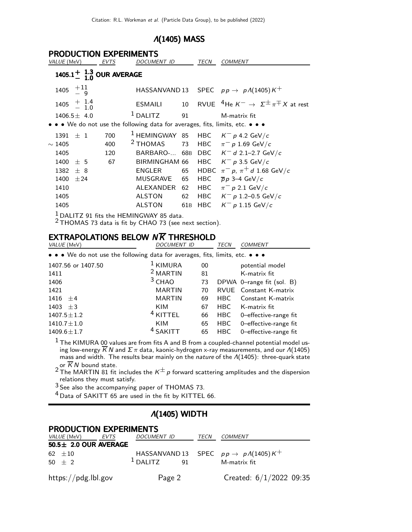## Λ(1405) MASS

| <b>PRODUCTION EXPERIMENTS</b> |                  |  |                                   |  |                                           |                 |            |                                                                             |
|-------------------------------|------------------|--|-----------------------------------|--|-------------------------------------------|-----------------|------------|-----------------------------------------------------------------------------|
| VALUE (MeV)                   |                  |  | EVTS                              |  | <i>DOCUMENT ID</i>                        |                 | TECN       | <b>COMMENT</b>                                                              |
|                               |                  |  | 1405.1 $^{+}_{-}$ 1.3 OUR AVERAGE |  |                                           |                 |            |                                                                             |
| 1405                          | $+11$<br>$-9$    |  |                                   |  |                                           |                 |            | HASSANVAND 13 SPEC $pp \rightarrow pA(1405)K^+$                             |
| 1405                          | $+$ 1.4<br>- 1.0 |  |                                   |  | <b>ESMAILI</b>                            | 10              |            | RVUE <sup>4</sup> He $K^- \rightarrow \Sigma^{\pm} \pi^{\mp} X$ at rest     |
| $1406.5 \pm 4.0$              |                  |  |                                   |  | $1$ DALITZ                                | 91              |            | M-matrix fit                                                                |
|                               |                  |  |                                   |  |                                           |                 |            | • • We do not use the following data for averages, fits, limits, etc. • • • |
| 1391                          | ±1               |  | 700                               |  | $1$ HEMINGWAY 85                          |                 |            | HBC $K^- p$ 4.2 GeV/c                                                       |
| $\sim$ 1405                   |                  |  | 400                               |  | <sup>2</sup> THOMAS                       | 73              | HBC        | $\pi^-$ p 1.69 GeV/c                                                        |
| 1405                          |                  |  | 120                               |  | BARBARO- 68B                              |                 | <b>DBC</b> | $K^-$ d 2.1–2.7 GeV/c                                                       |
| 1400                          | ± 5              |  | 67                                |  | BIRMINGHAM 66                             |                 | <b>HBC</b> | $K^-$ p 3.5 GeV/c                                                           |
| 1382                          | ± 8              |  |                                   |  | ENGLER                                    | 65              |            | HDBC $\pi^- p$ , $\pi^+ d$ 1.68 GeV/c                                       |
| 1400                          | ±24              |  |                                   |  | <b>MUSGRAVE</b>                           | 65              | HBC        | $\overline{p}p$ 3–4 GeV/c                                                   |
| 1410                          |                  |  |                                   |  | ALEXANDER                                 | 62              | HBC        | $\pi^-$ p 2.1 GeV/c                                                         |
| 1405                          |                  |  |                                   |  | <b>ALSTON</b>                             | 62              |            | HBC $K^- p 1.2 - 0.5 \text{ GeV}/c$                                         |
| 1405                          |                  |  |                                   |  | <b>ALSTON</b>                             | 61 <sub>B</sub> | HBC        | $K^- p 1.15 \text{ GeV}/c$                                                  |
|                               |                  |  |                                   |  | $1$ DALITZ 91 fits the HEMINGWAY 85 data. |                 |            |                                                                             |

2 THOMAS 73 data is fit by CHAO 73 (see next section).

### EXTRAPOLATIONS BELOW  $N\overline{K}$  THRESHOLD

| VALUE (MeV)                                                                   | <b>DOCUMENT ID</b>  |    | <b>TECN</b> | <b>COMMENT</b>                |  |  |  |
|-------------------------------------------------------------------------------|---------------------|----|-------------|-------------------------------|--|--|--|
| • • • We do not use the following data for averages, fits, limits, etc. • • • |                     |    |             |                               |  |  |  |
| 1407.56 or 1407.50                                                            | <sup>1</sup> KIMURA | 00 |             | potential model               |  |  |  |
| 1411                                                                          | <sup>2</sup> MARTIN | 81 |             | K-matrix fit                  |  |  |  |
| 1406                                                                          | $3$ CHAO            | 73 |             | DPWA 0-range fit (sol. B)     |  |  |  |
| 1421                                                                          | <b>MARTIN</b>       | 70 |             | <b>RVUE</b> Constant K-matrix |  |  |  |
| 1416 $\pm 4$                                                                  | <b>MARTIN</b>       | 69 | HBC.        | Constant K-matrix             |  |  |  |
| 1403 $\pm 3$                                                                  | KIM                 | 67 | HBC.        | K-matrix fit                  |  |  |  |
| $1407.5 \pm 1.2$                                                              | <sup>4</sup> KITTEL | 66 | <b>HBC</b>  | 0-effective-range fit         |  |  |  |
| $1410.7 \pm 1.0$                                                              | <b>KIM</b>          | 65 | <b>HBC</b>  | 0-effective-range fit         |  |  |  |
| $1409.6 \pm 1.7$                                                              | <sup>4</sup> SAKITT | 65 | <b>HBC</b>  | 0-effective-range fit         |  |  |  |

 $^{\rm 1}$  The KIMURA 00 values are from fits A and B from a coupled-channel potential model using low-energy  $K$   $N$  and  $\Sigma\pi$  data, kaonic-hydrogen x-ray measurements, and our  $\varLambda(1405)$ mass and width. The results bear mainly on the nature of the Λ(1405): three-quark state

or  $\overline{K}$  N bound state.<br><sup>2</sup> The MARTIN 81 fit includes the  $\kappa^\pm$  p forward scattering amplitudes and the dispersion relations they must satisfy.

 $3$  See also the accompanying paper of THOMAS 73.

<sup>4</sup> Data of SAKITT 65 are used in the fit by KITTEL 66.

#### Λ(1405) WIDTH

### PRODUCTION EXPERIMENTS

| <i>VALUE</i> (MeV)         | EVTS | <i>DOCUMENT ID</i> |    | TECN | <i>COMMENT</i>                                                  |  |
|----------------------------|------|--------------------|----|------|-----------------------------------------------------------------|--|
| $50.5 \pm 2.0$ OUR AVERAGE |      |                    |    |      |                                                                 |  |
| 62 $\pm 10$<br>$50 + 2$    |      | $1$ DALITZ         | 91 |      | HASSANVAND 13 SPEC $pp \rightarrow pA(1405)K^+$<br>M-matrix fit |  |
| https://pdg.lbl.gov        |      | Page 2             |    |      | Created: $6/1/2022$ 09:35                                       |  |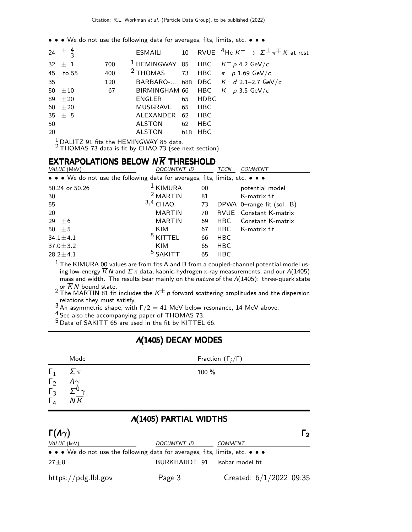• • • We do not use the following data for averages, fits, limits, etc. • • •

|     | 24 $\pm$ 4 3 |     |                  |  | <b>ESMAILI</b> 10 RVUE <sup>4</sup> He $K^- \rightarrow \Sigma^{\pm} \pi^{\mp} X$ at rest |
|-----|--------------|-----|------------------|--|-------------------------------------------------------------------------------------------|
|     | $32 \pm 1$   | 700 |                  |  | <sup>1</sup> HEMINGWAY 85 HBC $K^- p$ 4.2 GeV/c                                           |
|     | 45 to 55     | 400 |                  |  | <sup>2</sup> THOMAS 73 HBC $\pi^- p 1.69$ GeV/c                                           |
| 35  |              | 120 |                  |  | BARBARO- 68B DBC $K^- d$ 2.1-2.7 GeV/c                                                    |
|     | 50 $\pm 10$  | 67  |                  |  | BIRMINGHAM 66 HBC $K^- p$ 3.5 GeV/c                                                       |
|     | 89 $\pm 20$  |     | ENGLER 65 HDBC   |  |                                                                                           |
|     | $60 \pm 20$  |     | MUSGRAVE 65 HBC  |  |                                                                                           |
|     | $35 \pm 5$   |     | ALEXANDER 62 HBC |  |                                                                                           |
| 50  |              |     | ALSTON 62 HBC    |  |                                                                                           |
| 20  |              |     | ALSTON 61B HBC   |  |                                                                                           |
| - 1 |              |     |                  |  |                                                                                           |

 $\frac{1}{2}$  DALITZ 91 fits the HEMINGWAY 85 data.<br><sup>2</sup> THOMAS 73 data is fit by CHAO 73 (see next section).

## EXTRAPOLATIONS BELOW  $N\overline{K}$  THRESHOLD

| VALUE (MeV)<br><b>DOCUMENT ID</b>                                             |                     | TECN | <b>COMMENT</b> |                               |
|-------------------------------------------------------------------------------|---------------------|------|----------------|-------------------------------|
| • • • We do not use the following data for averages, fits, limits, etc. • • • |                     |      |                |                               |
| 50.24 or 50.26                                                                | $1$ KIMURA          | 00   |                | potential model               |
| 30                                                                            | <sup>2</sup> MARTIN | 81   |                | K-matrix fit                  |
| 55                                                                            | $3,4$ CHAO          | 73   |                | DPWA 0-range fit (sol. B)     |
| 20                                                                            | <b>MARTIN</b>       | 70   |                | <b>RVUE</b> Constant K-matrix |
| 29<br>$+6$                                                                    | <b>MARTIN</b>       | 69   | HBC.           | Constant K-matrix             |
| 50<br>±5                                                                      | KIM                 | 67   | HBC.           | K-matrix fit                  |
| $34.1 \pm 4.1$                                                                | <sup>5</sup> KITTEL | 66   | <b>HBC</b>     |                               |
| $37.0 \pm 3.2$                                                                | <b>KIM</b>          | 65   | <b>HBC</b>     |                               |
| $28.2 \pm 4.1$                                                                | <sup>5</sup> SAKITT | 65   | <b>HBC</b>     |                               |

 $^{\rm 1}$  The KIMURA 00 values are from fits A and B from a coupled-channel potential model using low-energy  $K$   $N$  and  $\Sigma\,\pi$  data, kaonic-hydrogen x-ray measurements, and our  $\varLambda(1405)$ mass and width. The results bear mainly on the nature of the Λ(1405): three-quark state

2 or K N bound state.<br><sup>2</sup> The MARTIN 81 fit includes the K $^\pm$  p forward scattering amplitudes and the dispersion relations they must satisfy.

3 An asymmetric shape, with  $\Gamma/2 = 41$  MeV below resonance, 14 MeV above.

 $\frac{4}{5}$  See also the accompanying paper of THOMAS 73.

 $5$  Data of SAKITT 65 are used in the fit by KITTEL 66.

## Λ(1405) DECAY MODES

|                                                                                                                                                                                                                                                                                                      | Mode | Fraction $(\Gamma_i/\Gamma)$ |
|------------------------------------------------------------------------------------------------------------------------------------------------------------------------------------------------------------------------------------------------------------------------------------------------------|------|------------------------------|
| $\Gamma_1 \quad \Sigma \pi$<br>$\begin{array}{ccc}\n\overline{1} & \overline{1} & \overline{1} \\ \overline{1} & \overline{1} & \overline{1} \\ \overline{1} & \overline{1} & \overline{1} \\ \overline{1} & \overline{1} & \overline{1} \\ \overline{1} & \overline{1} & \overline{1}\n\end{array}$ |      | 100 %                        |

## Λ(1405) PARTIAL WIDTHS

| $\Gamma(\Lambda \gamma)$                                                                                              |                               | $\mathsf{r}_{2}$        |
|-----------------------------------------------------------------------------------------------------------------------|-------------------------------|-------------------------|
| VALUE (keV)                                                                                                           | DOCUMENT ID                   | <b>COMMENT</b>          |
| $\bullet \bullet \bullet$ We do not use the following data for averages, fits, limits, etc. $\bullet \bullet \bullet$ |                               |                         |
| $27 + 8$                                                                                                              | BURKHARDT 91 Isobar model fit |                         |
| https://pdg.lbl.gov                                                                                                   | Page 3                        | Created: 6/1/2022 09:35 |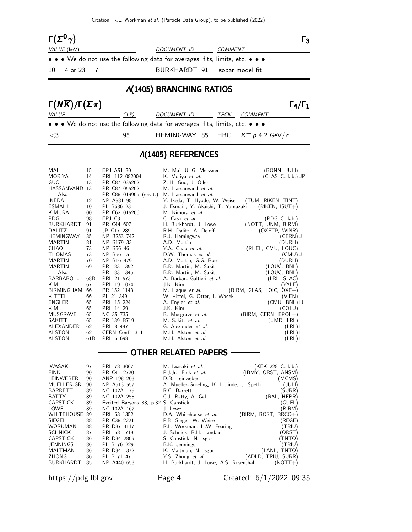Citation: R.L. Workman et al. (Particle Data Group), to be published (2022)

| $\Gamma(\Sigma^0\gamma)$ |                                                                               | l २            |  |  |  |  |
|--------------------------|-------------------------------------------------------------------------------|----------------|--|--|--|--|
| VALUE (keV)              | <i>DOCUMENT ID</i>                                                            | <b>COMMENT</b> |  |  |  |  |
|                          | • • • We do not use the following data for averages, fits, limits, etc. • • • |                |  |  |  |  |
| $10 \pm 4$ or 23 $\pm$ 7 | BURKHARDT 91 Isobar model fit                                                 |                |  |  |  |  |
| A(1405) BRANCHING RATIOS |                                                                               |                |  |  |  |  |

#### Λ(1405) BRANCHING RATIOS

| $\Gamma(N\overline{K})/\Gamma(\Sigma \pi)$                                                                            |     |                                    |      |                | $\Gamma_4/\Gamma_1$ |
|-----------------------------------------------------------------------------------------------------------------------|-----|------------------------------------|------|----------------|---------------------|
| <i>VALUE</i>                                                                                                          | CL% | <i>DOCUMENT ID</i>                 | TECN | <i>COMMENT</i> |                     |
| $\bullet \bullet \bullet$ We do not use the following data for averages, fits, limits, etc. $\bullet \bullet \bullet$ |     |                                    |      |                |                     |
| $\leq$ 3                                                                                                              | 95  | HEMINGWAY 85 HBC $K^- p$ 4.2 GeV/c |      |                |                     |

## Λ(1405) REFERENCES

| MAI<br><b>MORIYA</b><br>GUO | 15<br>14<br>13  | EPJ A51 30<br>PRL 112 082004<br>PR C87 035202 | M. Mai, U.-G. Meissner<br>K. Moriya <i>et al.</i><br>Z.-H. Guo, J. Oller | (BONN, JULI)<br>(CLAS Collab.) JP |
|-----------------------------|-----------------|-----------------------------------------------|--------------------------------------------------------------------------|-----------------------------------|
| HASSANVAND 13<br>Also       |                 | PR C87 055202<br>PR C88 019905 (errat.)       | M. Hassanvand et al.<br>M. Hassanvand et al.                             |                                   |
| <b>IKEDA</b>                | 12              | NP A881 98                                    | Y. Ikeda, T. Hyodo, W. Weise                                             | (TUM, RIKEN, TINT)                |
| <b>ESMAILI</b>              | 10              | PL B686 23                                    | J. Esmaili, Y. Akaishi, T. Yamazaki                                      | $(RIKEN, ISUT+)$                  |
| KIMURA                      | 00              | PR C62 015206                                 | M. Kimura et al.                                                         |                                   |
| <b>PDG</b>                  | 98              | EPI C3 1                                      | C. Caso et al.                                                           | (PDG Collab.)                     |
| <b>BURKHARDT</b>            | 91              | PR C44 607                                    | H. Burkhardt, J. Lowe                                                    | (NOTT, UNM, BIRM)                 |
| <b>DALITZ</b>               | 91              | JP G17 289                                    | R.H. Dalitz, A. Deloff                                                   | (OXFTP, WINR)                     |
| <b>HEMINGWAY</b>            | 85              | NP B253 742                                   | R.J. Hemingway                                                           | $(CERN)$ J                        |
| <b>MARTIN</b>               | 81              | NP B179 33                                    | A.D. Martin                                                              | (DURH)                            |
| <b>CHAO</b>                 | 73              | NP B56 46                                     | Y.A. Chao et al.                                                         | (RHEL, CMU, LOUC)                 |
| <b>THOMAS</b>               | 73              | NP B56 15                                     | D.W. Thomas et al.                                                       | (CMU) J                           |
| <b>MARTIN</b>               | 70              | NP B16 479                                    | A.D. Martin, G.G. Ross                                                   | (DURH)                            |
| <b>MARTIN</b>               | 69              | PR 183 1352                                   | B.R. Martin, M. Sakitt                                                   | (LOUC, BNL)                       |
| Also                        |                 | PR 183 1345                                   | B.R. Martin, M. Sakitt                                                   | (LOUC, BNL)                       |
| BARBARO-                    | 68B             | PRL 21 573                                    | A. Barbaro-Galtieri et al.                                               | (LRL, SLAC)                       |
| KIM                         | 67              | PRL 19 1074                                   | J.K. Kim                                                                 | (YALE)                            |
| <b>BIRMINGHAM</b>           | 66              | PR 152 1148                                   | M. Haque et al.                                                          | $(BIRM, GLAS, LOIC, OXF+)$        |
| KITTEL                      | 66              | PL 21 349                                     | W. Kittel, G. Otter, I. Wacek                                            | (VIEN)                            |
| ENGLER                      | 65              | PRL 15 224                                    | A. Engler et al.                                                         | (CMU, BNL) IJ                     |
| KIM                         | 65              | PRL 14 29                                     | J.K. Kim                                                                 | (COLU)                            |
| <b>MUSGRAVE</b>             | 65              | NC 35 735                                     | B. Musgrave et al.                                                       | (BIRM, CERN, EPOL+)               |
| <b>SAKITT</b>               | 65              | PR 139 B719                                   | M. Sakitt et al.                                                         | (UMD, LRL)                        |
| ALEXANDER                   | 62              | PRL 8 447                                     | G. Alexander et al.                                                      | (LRL) I                           |
| <b>ALSTON</b>               | 62              | CERN Conf. 311                                | M.H. Alston et al.                                                       | (LRL) I                           |
| <b>ALSTON</b>               | 61 <sub>B</sub> | PRL 6 698                                     | M.H. Alston et al.                                                       | (LRL) I                           |
|                             |                 |                                               |                                                                          |                                   |

## - OTHER RELATED PAPERS -

| <b>IWASAKI</b>       | 97 | PRL 78 3067                          | M. Iwasaki et al.                         | $(KEK 228$ Collab.) |
|----------------------|----|--------------------------------------|-------------------------------------------|---------------------|
| <b>FINK</b>          | 90 | PR C41 2720                          | P.J.Jr. Fink et al.                       | (IBMY, ORST, ANSM)  |
| LEINWEBER            | 90 | ANP 198 203                          | D.B. Leinweber                            | (MCMS)              |
| MUELLER-GR90         |    | NP A513 557                          | A. Mueller-Groeling, K. Holinde, J. Speth | (JULI)              |
| <b>BARRETT</b>       | 89 | NC 102A 179                          | R.C. Barrett                              | (SURR)              |
| <b>BATTY</b>         | 89 | NC 102A 255                          | C.J. Batty, A. Gal                        | (RAL, HEBR)         |
| <b>CAPSTICK</b>      | 89 | Excited Baryons 88, p.32 S. Capstick |                                           | (GUEL)              |
| LOWE                 | 89 | NC 102A 167                          | J. Lowe                                   | BIRM)               |
| <b>WHITEHOUSE 89</b> |    | PRL 63 1352                          | D.A. Whitehouse et al.                    | (BIRM, BOST, BRCO+) |
| <b>SIEGEL</b>        | 88 | PR C38 2221                          | P.B. Siegel, W. Weise                     | (REGE)              |
| WORKMAN              | 88 | PR D37 3117                          | R.L. Workman, H.W. Fearing                | (TRIU)              |
| <b>SCHNICK</b>       | 87 | PRL 58 1719                          | J. Schnick, R.H. Landau                   | (ORST)              |
| <b>CAPSTICK</b>      | 86 | PR D34 2809                          | S. Capstick, N. Isgur                     | (TNTO)              |
| <b>JENNINGS</b>      | 86 | PL B176 229                          | B.K. Jennings                             | (TRIU)              |
| <b>MALTMAN</b>       | 86 | PR D34 1372                          | K. Maltman, N. Isgur                      | (LANL, TNTO)        |
| ZHONG                | 86 | PL B171 471                          | Y.S. Zhong et al.                         | (ADLD, TRIU, SURR)  |
| <b>BURKHARDT</b>     | 85 | NP A440 653                          | H. Burkhardt, J. Lowe, A.S. Rosenthal     | $(NOTT+)$           |

https://pdg.lbl.gov Page 4 Created: 6/1/2022 09:35